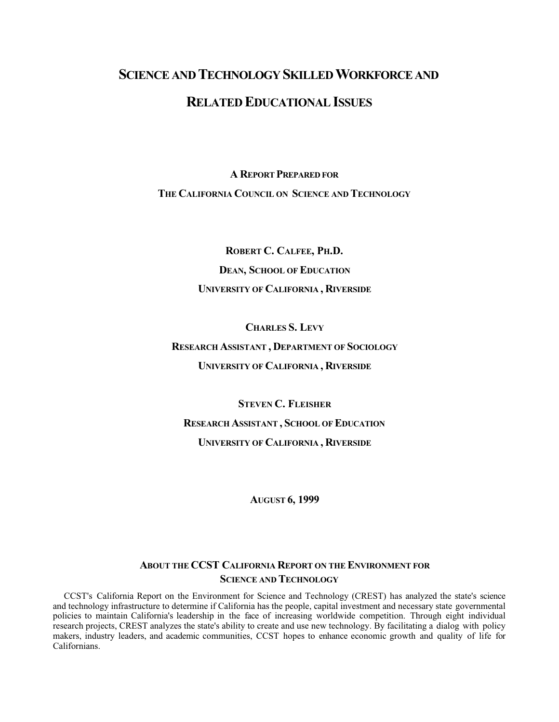# **SCIENCE AND TECHNOLOGY SKILLED WORKFORCE AND RELATED EDUCATIONAL ISSUES**

**A REPORT PREPARED FOR**

**THE CALIFORNIA COUNCIL ON SCIENCE AND TECHNOLOGY**

**ROBERT C. CALFEE, PH.D. DEAN, SCHOOL OF EDUCATION UNIVERSITY OF CALIFORNIA , RIVERSIDE**

**CHARLES S. LEVY RESEARCH ASSISTANT , DEPARTMENT OF SOCIOLOGY UNIVERSITY OF CALIFORNIA , RIVERSIDE**

**STEVEN C. FLEISHER RESEARCH ASSISTANT , SCHOOL OF EDUCATION UNIVERSITY OF CALIFORNIA , RIVERSIDE**

**AUGUST 6, 1999**

## **ABOUT THE CCST CALIFORNIA REPORT ON THE ENVIRONMENT FOR SCIENCE AND TECHNOLOGY**

CCST's California Report on the Environment for Science and Technology (CREST) has analyzed the state's science and technology infrastructure to determine if California has the people, capital investment and necessary state governmental policies to maintain California's leadership in the face of increasing worldwide competition. Through eight individual research projects, CREST analyzes the state's ability to create and use new technology. By facilitating a dialog with policy makers, industry leaders, and academic communities, CCST hopes to enhance economic growth and quality of life for Californians.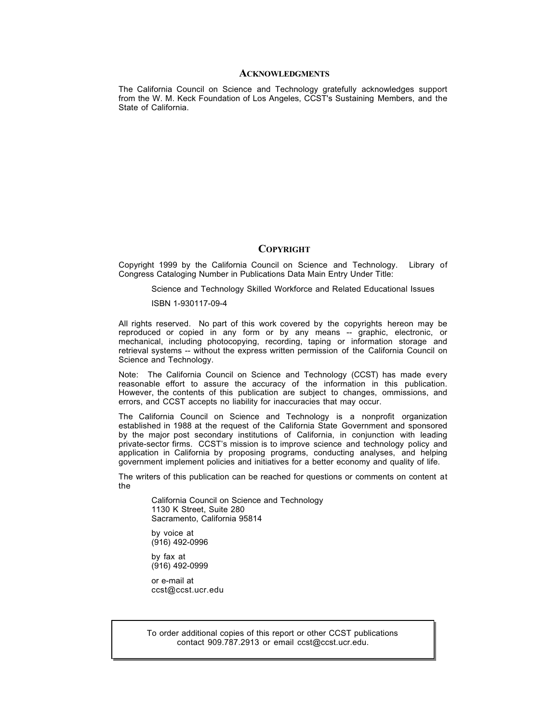#### **ACKNOWLEDGMENTS**

The California Council on Science and Technology gratefully acknowledges support from the W. M. Keck Foundation of Los Angeles, CCST's Sustaining Members, and the State of California.

#### **COPYRIGHT**

Copyright 1999 by the California Council on Science and Technology. Library of Congress Cataloging Number in Publications Data Main Entry Under Title:

Science and Technology Skilled Workforce and Related Educational Issues

ISBN 1-930117-09-4

All rights reserved. No part of this work covered by the copyrights hereon may be reproduced or copied in any form or by any means -- graphic, electronic, or mechanical, including photocopying, recording, taping or information storage and retrieval systems -- without the express written permission of the California Council on Science and Technology.

Note: The California Council on Science and Technology (CCST) has made every reasonable effort to assure the accuracy of the information in this publication. However, the contents of this publication are subject to changes, ommissions, and errors, and CCST accepts no liability for inaccuracies that may occur.

The California Council on Science and Technology is a nonprofit organization established in 1988 at the request of the California State Government and sponsored by the major post secondary institutions of California, in conjunction with leading private-sector firms. CCST's mission is to improve science and technology policy and application in California by proposing programs, conducting analyses, and helping government implement policies and initiatives for a better economy and quality of life.

The writers of this publication can be reached for questions or comments on content at the

California Council on Science and Technology 1130 K Street, Suite 280 Sacramento, California 95814

by voice at (916) 492-0996

by fax at (916) 492-0999

or e-mail at ccst@ccst.ucr.edu

To order additional copies of this report or other CCST publications contact 909.787.2913 or email ccst@ccst.ucr.edu.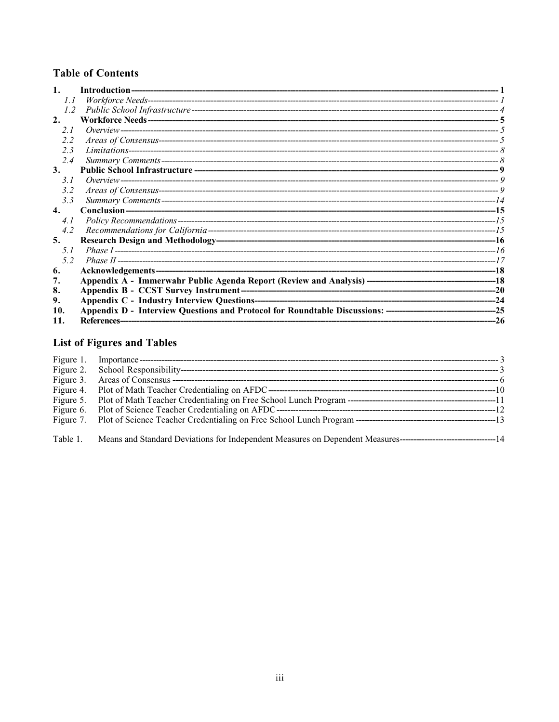# **Table of Contents**

| 1.  | Introduction- |     |
|-----|---------------|-----|
| 1.1 |               |     |
| 1.2 |               |     |
| 2.  |               |     |
| 2.1 |               |     |
| 2.2 |               |     |
| 2.3 |               |     |
| 2.4 |               |     |
| 3.  |               |     |
| 3.1 |               |     |
| 3.2 |               |     |
| 3.3 |               |     |
| 4.  |               |     |
| 4.1 |               |     |
| 4.2 |               |     |
| 5.  |               | -16 |
| 5.1 |               |     |
| 52  |               |     |
| 6.  |               | -18 |
| 7.  |               |     |
| 8.  |               |     |
| 9.  |               |     |
| 10. |               | -25 |
| 11. | References-   | -26 |

# List of Figures and Tables

| Figure 5. |  |
|-----------|--|
|           |  |
|           |  |
| Table 1.  |  |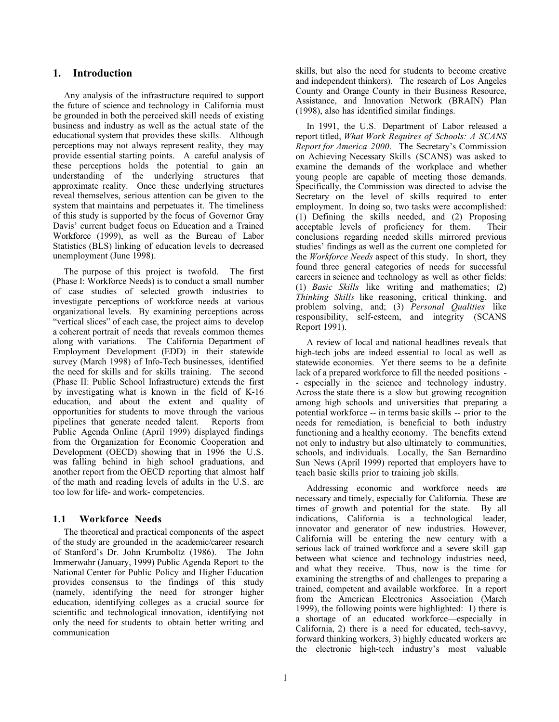## **1. Introduction**

Any analysis of the infrastructure required to support the future of science and technology in California must be grounded in both the perceived skill needs of existing business and industry as well as the actual state of the educational system that provides these skills. Although perceptions may not always represent reality, they may provide essential starting points. A careful analysis of these perceptions holds the potential to gain an understanding of the underlying structures that approximate reality. Once these underlying structures reveal themselves, serious attention can be given to the system that maintains and perpetuates it. The timeliness of this study is supported by the focus of Governor Gray Davis' current budget focus on Education and a Trained Workforce (1999), as well as the Bureau of Labor Statistics (BLS) linking of education levels to decreased unemployment (June 1998).

The purpose of this project is twofold. The first (Phase I: Workforce Needs) is to conduct a small number of case studies of selected growth industries to investigate perceptions of workforce needs at various organizational levels. By examining perceptions across "vertical slices" of each case, the project aims to develop a coherent portrait of needs that reveals common themes along with variations. The California Department of Employment Development (EDD) in their statewide survey (March 1998) of Info-Tech businesses, identified the need for skills and for skills training. The second (Phase II: Public School Infrastructure) extends the first by investigating what is known in the field of K-16 education, and about the extent and quality of opportunities for students to move through the various pipelines that generate needed talent. Reports from Public Agenda Online (April 1999) displayed findings from the Organization for Economic Cooperation and Development (OECD) showing that in 1996 the U.S. was falling behind in high school graduations, and another report from the OECD reporting that almost half of the math and reading levels of adults in the U.S. are too low for life- and work- competencies.

## **1.1 Workforce Needs**

The theoretical and practical components of the aspect of the study are grounded in the academic/career research of Stanford's Dr. John Krumboltz (1986). The John Immerwahr (January, 1999) Public Agenda Report to the National Center for Public Policy and Higher Education provides consensus to the findings of this study (namely, identifying the need for stronger higher education, identifying colleges as a crucial source for scientific and technological innovation, identifying not only the need for students to obtain better writing and communication

skills, but also the need for students to become creative and independent thinkers). The research of Los Angeles County and Orange County in their Business Resource, Assistance, and Innovation Network (BRAIN) Plan (1998), also has identified similar findings.

In 1991, the U.S. Department of Labor released a report titled, *What Work Requires of Schools: A SCANS Report for America 2000*. The Secretary's Commission on Achieving Necessary Skills (SCANS) was asked to examine the demands of the workplace and whether young people are capable of meeting those demands. Specifically, the Commission was directed to advise the Secretary on the level of skills required to enter employment. In doing so, two tasks were accomplished: (1) Defining the skills needed, and (2) Proposing acceptable levels of proficiency for them. Their conclusions regarding needed skills mirrored previous studies' findings as well as the current one completed for the *Workforce Needs* aspect of this study. In short, they found three general categories of needs for successful careers in science and technology as well as other fields: (1) *Basic Skills* like writing and mathematics; (2) *Thinking Skills* like reasoning, critical thinking, and problem solving, and; (3) *Personal Qualities* like responsibility, self-esteem, and integrity (SCANS Report 1991).

A review of local and national headlines reveals that high-tech jobs are indeed essential to local as well as statewide economies. Yet there seems to be a definite lack of a prepared workforce to fill the needed positions - - especially in the science and technology industry. Across the state there is a slow but growing recognition among high schools and universities that preparing a potential workforce -- in terms basic skills -- prior to the needs for remediation, is beneficial to both industry functioning and a healthy economy. The benefits extend not only to industry but also ultimately to communities, schools, and individuals. Locally, the San Bernardino Sun News (April 1999) reported that employers have to teach basic skills prior to training job skills.

Addressing economic and workforce needs are necessary and timely, especially for California. These are times of growth and potential for the state. By all indications, California is a technological leader, innovator and generator of new industries. However, California will be entering the new century with a serious lack of trained workforce and a severe skill gap between what science and technology industries need, and what they receive. Thus, now is the time for examining the strengths of and challenges to preparing a trained, competent and available workforce. In a report from the American Electronics Association (March 1999), the following points were highlighted: 1) there is a shortage of an educated workforce—especially in California, 2) there is a need for educated, tech-savvy, forward thinking workers, 3) highly educated workers are the electronic high-tech industry's most valuable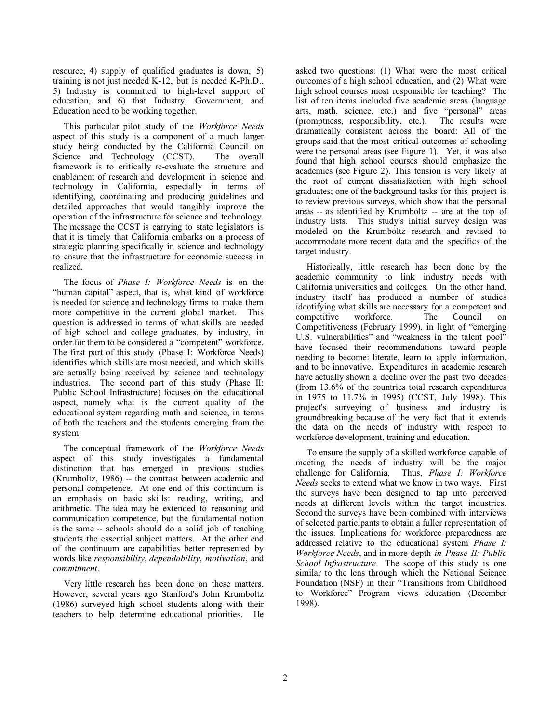resource, 4) supply of qualified graduates is down, 5) training is not just needed K-12, but is needed K-Ph.D., 5) Industry is committed to high-level support of education, and 6) that Industry, Government, and Education need to be working together.

This particular pilot study of the *Workforce Needs* aspect of this study is a component of a much larger study being conducted by the California Council on Science and Technology (CCST). The overall framework is to critically re-evaluate the structure and enablement of research and development in science and technology in California, especially in terms of identifying, coordinating and producing guidelines and detailed approaches that would tangibly improve the operation of the infrastructure for science and technology. The message the CCST is carrying to state legislators is that it is timely that California embarks on a process of strategic planning specifically in science and technology to ensure that the infrastructure for economic success in realized.

The focus of *Phase I: Workforce Needs* is on the "human capital" aspect, that is, what kind of workforce is needed for science and technology firms to make them more competitive in the current global market. This question is addressed in terms of what skills are needed of high school and college graduates, by industry, in order for them to be considered a "competent" workforce. The first part of this study (Phase I: Workforce Needs) identifies which skills are most needed, and which skills are actually being received by science and technology industries. The second part of this study (Phase II: Public School Infrastructure) focuses on the educational aspect, namely what is the current quality of the educational system regarding math and science, in terms of both the teachers and the students emerging from the system.

The conceptual framework of the *Workforce Needs* aspect of this study investigates a fundamental distinction that has emerged in previous studies (Krumboltz, 1986) -- the contrast between academic and personal competence. At one end of this continuum is an emphasis on basic skills: reading, writing, and arithmetic. The idea may be extended to reasoning and communication competence, but the fundamental notion is the same -- schools should do a solid job of teaching students the essential subject matters. At the other end of the continuum are capabilities better represented by words like *responsibility*, *dependability*, *motivation*, and *commitment*.

Very little research has been done on these matters. However, several years ago Stanford's John Krumboltz (1986) surveyed high school students along with their teachers to help determine educational priorities. He

asked two questions: (1) What were the most critical outcomes of a high school education, and (2) What were high school courses most responsible for teaching? The list of ten items included five academic areas (language arts, math, science, etc.) and five "personal" areas (promptness, responsibility, etc.). The results were dramatically consistent across the board: All of the groups said that the most critical outcomes of schooling were the personal areas (see Figure 1). Yet, it was also found that high school courses should emphasize the academics (see Figure 2). This tension is very likely at the root of current dissatisfaction with high school graduates; one of the background tasks for this project is to review previous surveys, which show that the personal areas -- as identified by Krumboltz -- are at the top of industry lists. This study's initial survey design was modeled on the Krumboltz research and revised to accommodate more recent data and the specifics of the target industry.

Historically, little research has been done by the academic community to link industry needs with California universities and colleges. On the other hand, industry itself has produced a number of studies identifying what skills are necessary for a competent and competitive workforce. The Council on Competitiveness (February 1999), in light of "emerging U.S. vulnerabilities" and "weakness in the talent pool" have focused their recommendations toward people needing to become: literate, learn to apply information, and to be innovative. Expenditures in academic research have actually shown a decline over the past two decades (from 13.6% of the countries total research expenditures in 1975 to 11.7% in 1995) (CCST, July 1998). This project's surveying of business and industry is groundbreaking because of the very fact that it extends the data on the needs of industry with respect to workforce development, training and education.

To ensure the supply of a skilled workforce capable of meeting the needs of industry will be the major challenge for California. Thus, *Phase I: Workforce Needs* seeks to extend what we know in two ways. First the surveys have been designed to tap into perceived needs at different levels within the target industries. Second the surveys have been combined with interviews of selected participants to obtain a fuller representation of the issues. Implications for workforce preparedness are addressed relative to the educational system *Phase I: Workforce Needs*, and in more depth *in Phase II: Public School Infrastructure*. The scope of this study is one similar to the lens through which the National Science Foundation (NSF) in their "Transitions from Childhood to Workforce" Program views education (December 1998).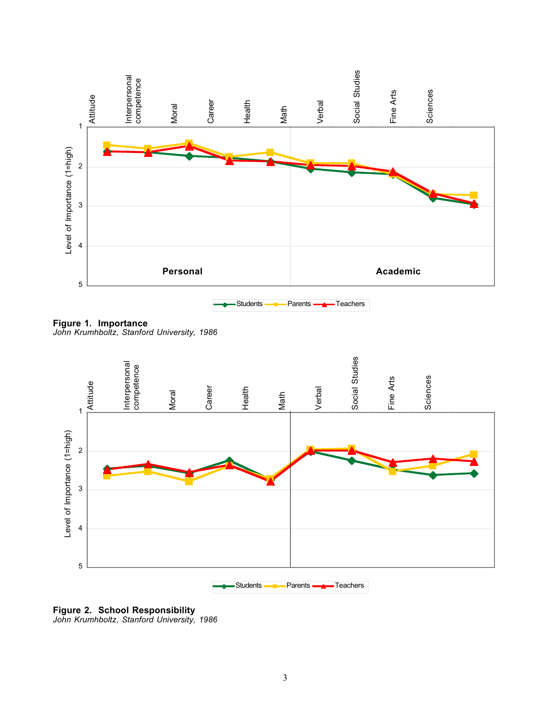

**Figure 1. Importance** *John Krumhboltz, Stanford University, 1986*



**Figure 2. School Responsibility**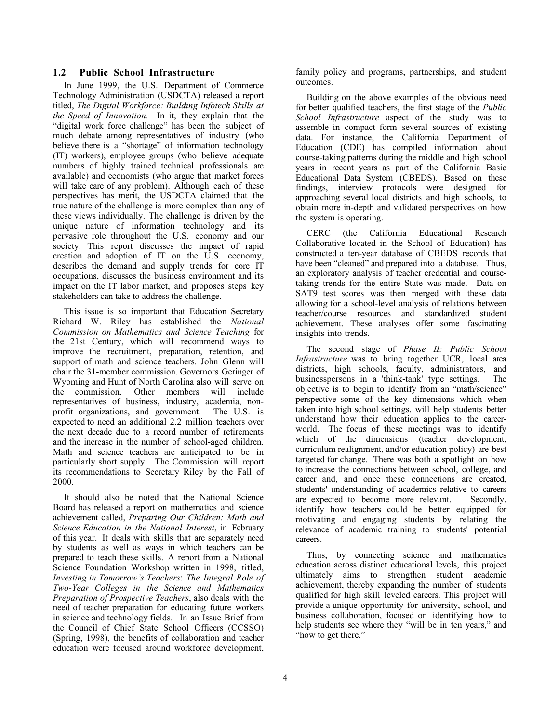#### **1.2 Public School Infrastructure**

In June 1999, the U.S. Department of Commerce Technology Administration (USDCTA) released a report titled, *The Digital Workforce: Building Infotech Skills at the Speed of Innovation*. In it, they explain that the "digital work force challenge" has been the subject of much debate among representatives of industry (who believe there is a "shortage" of information technology (IT) workers), employee groups (who believe adequate numbers of highly trained technical professionals are available) and economists (who argue that market forces will take care of any problem). Although each of these perspectives has merit, the USDCTA claimed that the true nature of the challenge is more complex than any of these views individually. The challenge is driven by the unique nature of information technology and its pervasive role throughout the U.S. economy and our society. This report discusses the impact of rapid creation and adoption of IT on the U.S. economy, describes the demand and supply trends for core IT occupations, discusses the business environment and its impact on the IT labor market, and proposes steps key stakeholders can take to address the challenge.

This issue is so important that Education Secretary Richard W. Riley has established the *National Commission on Mathematics and Science Teaching* for the 21st Century, which will recommend ways to improve the recruitment, preparation, retention, and support of math and science teachers. John Glenn will chair the 31-member commission. Governors Geringer of Wyoming and Hunt of North Carolina also will serve on the commission. Other members will include representatives of business, industry, academia, nonprofit organizations, and government. The U.S. is expected to need an additional 2.2 million teachers over the next decade due to a record number of retirements and the increase in the number of school-aged children. Math and science teachers are anticipated to be in particularly short supply. The Commission will report its recommendations to Secretary Riley by the Fall of 2000.

It should also be noted that the National Science Board has released a report on mathematics and science achievement called, *Preparing Our Children: Math and Science Education in the National Interest*, in February of this year. It deals with skills that are separately need by students as well as ways in which teachers can be prepared to teach these skills. A report from a National Science Foundation Workshop written in 1998, titled, *Investing in Tomorrow's Teachers*: *The Integral Role of Two-Year Colleges in the Science and Mathematics Preparation of Prospective Teachers*, also deals with the need of teacher preparation for educating future workers in science and technology fields. In an Issue Brief from the Council of Chief State School Officers (CCSSO) (Spring, 1998), the benefits of collaboration and teacher education were focused around workforce development, family policy and programs, partnerships, and student outcomes.

Building on the above examples of the obvious need for better qualified teachers, the first stage of the *Public School Infrastructure* aspect of the study was to assemble in compact form several sources of existing data. For instance, the California Department of Education (CDE) has compiled information about course-taking patterns during the middle and high school years in recent years as part of the California Basic Educational Data System (CBEDS). Based on these findings, interview protocols were designed for approaching several local districts and high schools, to obtain more in-depth and validated perspectives on how the system is operating.

CERC (the California Educational Research Collaborative located in the School of Education) has constructed a ten-year database of CBEDS records that have been "cleaned" and prepared into a database. Thus, an exploratory analysis of teacher credential and coursetaking trends for the entire State was made. Data on SAT9 test scores was then merged with these data allowing for a school-level analysis of relations between teacher/course resources and standardized student achievement. These analyses offer some fascinating insights into trends.

The second stage of *Phase II: Public School Infrastructure* was to bring together UCR, local area districts, high schools, faculty, administrators, and businesspersons in a 'think-tank' type settings. The objective is to begin to identify from an "math/science" perspective some of the key dimensions which when taken into high school settings, will help students better understand how their education applies to the careerworld. The focus of these meetings was to identify which of the dimensions (teacher development, curriculum realignment, and/or education policy) are best targeted for change. There was both a spotlight on how to increase the connections between school, college, and career and, and once these connections are created, students' understanding of academics relative to careers are expected to become more relevant. Secondly, identify how teachers could be better equipped for motivating and engaging students by relating the relevance of academic training to students' potential careers.

Thus, by connecting science and mathematics education across distinct educational levels, this project ultimately aims to strengthen student academic achievement, thereby expanding the number of students qualified for high skill leveled careers. This project will provide a unique opportunity for university, school, and business collaboration, focused on identifying how to help students see where they "will be in ten years," and "how to get there."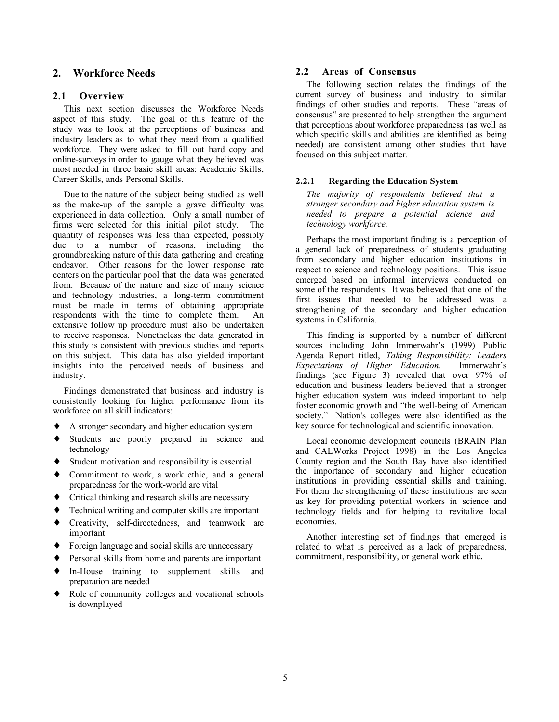## **2. Workforce Needs**

## **2.1 Overview**

This next section discusses the Workforce Needs aspect of this study. The goal of this feature of the study was to look at the perceptions of business and industry leaders as to what they need from a qualified workforce. They were asked to fill out hard copy and online-surveys in order to gauge what they believed was most needed in three basic skill areas: Academic Skills, Career Skills, ands Personal Skills.

Due to the nature of the subject being studied as well as the make-up of the sample a grave difficulty was experienced in data collection. Only a small number of firms were selected for this initial pilot study. The quantity of responses was less than expected, possibly due to a number of reasons, including the groundbreaking nature of this data gathering and creating endeavor. Other reasons for the lower response rate centers on the particular pool that the data was generated from. Because of the nature and size of many science and technology industries, a long-term commitment must be made in terms of obtaining appropriate respondents with the time to complete them. An extensive follow up procedure must also be undertaken to receive responses. Nonetheless the data generated in this study is consistent with previous studies and reports on this subject. This data has also yielded important insights into the perceived needs of business and industry.

Findings demonstrated that business and industry is consistently looking for higher performance from its workforce on all skill indicators:

- ♦ A stronger secondary and higher education system
- ♦ Students are poorly prepared in science and technology
- ♦ Student motivation and responsibility is essential
- ♦ Commitment to work, a work ethic, and a general preparedness for the work-world are vital
- ♦ Critical thinking and research skills are necessary
- Technical writing and computer skills are important
- ♦ Creativity, self-directedness, and teamwork are important
- ♦ Foreign language and social skills are unnecessary
- Personal skills from home and parents are important
- ♦ In-House training to supplement skills and preparation are needed
- ♦ Role of community colleges and vocational schools is downplayed

## **2.2 Areas of Consensus**

The following section relates the findings of the current survey of business and industry to similar findings of other studies and reports. These "areas of consensus" are presented to help strengthen the argument that perceptions about workforce preparedness (as well as which specific skills and abilities are identified as being needed) are consistent among other studies that have focused on this subject matter.

#### **2.2.1 Regarding the Education System**

*The majority of respondents believed that a stronger secondary and higher education system is needed to prepare a potential science and technology workforce.*

Perhaps the most important finding is a perception of a general lack of preparedness of students graduating from secondary and higher education institutions in respect to science and technology positions. This issue emerged based on informal interviews conducted on some of the respondents. It was believed that one of the first issues that needed to be addressed was a strengthening of the secondary and higher education systems in California.

This finding is supported by a number of different sources including John Immerwahr's (1999) Public Agenda Report titled, *Taking Responsibility: Leaders Expectations of Higher Education*. Immerwahr's findings (see Figure 3) revealed that over 97% of education and business leaders believed that a stronger higher education system was indeed important to help foster economic growth and "the well-being of American society." Nation's colleges were also identified as the key source for technological and scientific innovation.

Local economic development councils (BRAIN Plan and CALWorks Project 1998) in the Los Angeles County region and the South Bay have also identified the importance of secondary and higher education institutions in providing essential skills and training. For them the strengthening of these institutions are seen as key for providing potential workers in science and technology fields and for helping to revitalize local economies.

Another interesting set of findings that emerged is related to what is perceived as a lack of preparedness, commitment, responsibility, or general work ethic**.**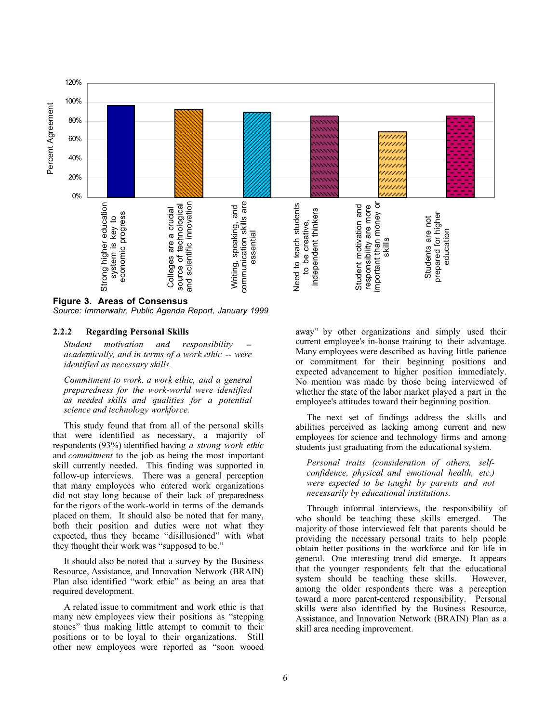

**Figure 3. Areas of Consensus**

*Source: Immerwahr, Public Agenda Report, January 1999*

#### **2.2.2 Regarding Personal Skills**

*Student motivation* and *responsibility academically, and in terms of a work ethic -- were identified as necessary skills.*

*Commitment to work, a work ethic, and a general preparedness for the work-world were identified as needed skills and qualities for a potential science and technology workforce.*

This study found that from all of the personal skills that were identified as necessary, a majority of respondents (93%) identified having *a strong work ethic* and *commitment* to the job as being the most important skill currently needed. This finding was supported in follow-up interviews. There was a general perception that many employees who entered work organizations did not stay long because of their lack of preparedness for the rigors of the work-world in terms of the demands placed on them. It should also be noted that for many, both their position and duties were not what they expected, thus they became "disillusioned" with what they thought their work was "supposed to be."

It should also be noted that a survey by the Business Resource, Assistance, and Innovation Network (BRAIN) Plan also identified "work ethic" as being an area that required development.

A related issue to commitment and work ethic is that many new employees view their positions as "stepping stones" thus making little attempt to commit to their positions or to be loyal to their organizations. Still other new employees were reported as "soon wooed

away" by other organizations and simply used their current employee's in-house training to their advantage. Many employees were described as having little patience or commitment for their beginning positions and expected advancement to higher position immediately. No mention was made by those being interviewed of whether the state of the labor market played a part in the employee's attitudes toward their beginning position.

The next set of findings address the skills and abilities perceived as lacking among current and new employees for science and technology firms and among students just graduating from the educational system.

*Personal traits (consideration of others, selfconfidence, physical and emotional health, etc.) were expected to be taught by parents and not necessarily by educational institutions.*

Through informal interviews, the responsibility of who should be teaching these skills emerged. The majority of those interviewed felt that parents should be providing the necessary personal traits to help people obtain better positions in the workforce and for life in general. One interesting trend did emerge. It appears that the younger respondents felt that the educational system should be teaching these skills. However, among the older respondents there was a perception toward a more parent-centered responsibility. Personal skills were also identified by the Business Resource, Assistance, and Innovation Network (BRAIN) Plan as a skill area needing improvement.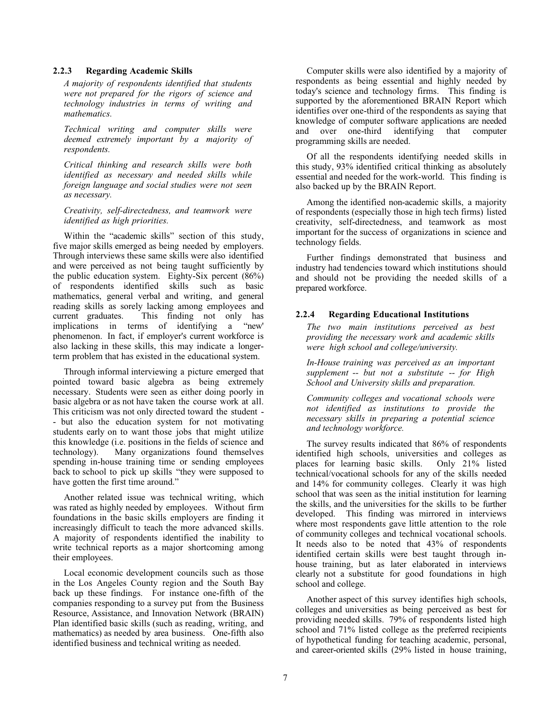#### **2.2.3 Regarding Academic Skills**

*A majority of respondents identified that students were not prepared for the rigors of science and technology industries in terms of writing and mathematics.*

*Technical writing and computer skills were deemed extremely important by a majority of respondents.*

*Critical thinking and research skills were both identified as necessary and needed skills while foreign language and social studies were not seen as necessary.*

*Creativity, self-directedness, and teamwork were identified as high priorities.*

Within the "academic skills" section of this study, five major skills emerged as being needed by employers. Through interviews these same skills were also identified and were perceived as not being taught sufficiently by the public education system. Eighty-Six percent (86%) of respondents identified skills such as basic mathematics, general verbal and writing, and general reading skills as sorely lacking among employees and current graduates. This finding not only has<br>implications in terms of identifying a "new" implications in terms of identifying a phenomenon. In fact, if employer's current workforce is also lacking in these skills, this may indicate a longerterm problem that has existed in the educational system.

Through informal interviewing a picture emerged that pointed toward basic algebra as being extremely necessary. Students were seen as either doing poorly in basic algebra or as not have taken the course work at all. This criticism was not only directed toward the student - - but also the education system for not motivating students early on to want those jobs that might utilize this knowledge (i.e. positions in the fields of science and technology). Many organizations found themselves spending in-house training time or sending employees back to school to pick up skills "they were supposed to have gotten the first time around."

Another related issue was technical writing, which was rated as highly needed by employees. Without firm foundations in the basic skills employers are finding it increasingly difficult to teach the more advanced skills. A majority of respondents identified the inability to write technical reports as a major shortcoming among their employees.

Local economic development councils such as those in the Los Angeles County region and the South Bay back up these findings. For instance one-fifth of the companies responding to a survey put from the Business Resource, Assistance, and Innovation Network (BRAIN) Plan identified basic skills (such as reading, writing, and mathematics) as needed by area business. One-fifth also identified business and technical writing as needed.

Computer skills were also identified by a majority of respondents as being essential and highly needed by today's science and technology firms. This finding is supported by the aforementioned BRAIN Report which identifies over one-third of the respondents as saying that knowledge of computer software applications are needed and over one-third identifying that computer programming skills are needed.

Of all the respondents identifying needed skills in this study, 93% identified critical thinking as absolutely essential and needed for the work-world. This finding is also backed up by the BRAIN Report.

Among the identified non-academic skills, a majority of respondents (especially those in high tech firms) listed creativity, self-directedness, and teamwork as most important for the success of organizations in science and technology fields.

Further findings demonstrated that business and industry had tendencies toward which institutions should and should not be providing the needed skills of a prepared workforce.

#### **2.2.4 Regarding Educational Institutions**

*The two main institutions perceived as best providing the necessary work and academic skills were high school and college/university.*

*In-House training was perceived as an important supplement -- but not a substitute -- for High School and University skills and preparation.*

*Community colleges and vocational schools were not identified as institutions to provide the necessary skills in preparing a potential science and technology workforce.*

The survey results indicated that 86% of respondents identified high schools, universities and colleges as places for learning basic skills. Only 21% listed technical/vocational schools for any of the skills needed and 14% for community colleges. Clearly it was high school that was seen as the initial institution for learning the skills, and the universities for the skills to be further developed. This finding was mirrored in interviews where most respondents gave little attention to the role of community colleges and technical vocational schools. It needs also to be noted that 43% of respondents identified certain skills were best taught through inhouse training, but as later elaborated in interviews clearly not a substitute for good foundations in high school and college.

Another aspect of this survey identifies high schools, colleges and universities as being perceived as best for providing needed skills. 79% of respondents listed high school and 71% listed college as the preferred recipients of hypothetical funding for teaching academic, personal, and career-oriented skills (29% listed in house training,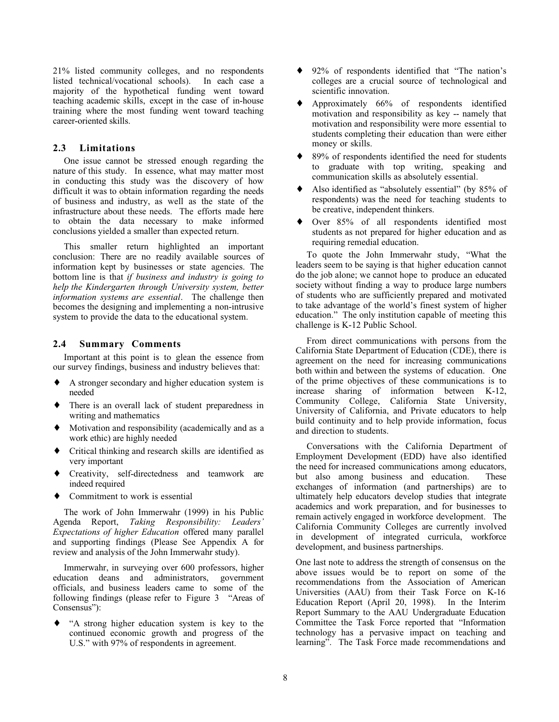21% listed community colleges, and no respondents listed technical/vocational schools). In each case a majority of the hypothetical funding went toward teaching academic skills, except in the case of in-house training where the most funding went toward teaching career-oriented skills.

#### **2.3 Limitations**

One issue cannot be stressed enough regarding the nature of this study. In essence, what may matter most in conducting this study was the discovery of how difficult it was to obtain information regarding the needs of business and industry, as well as the state of the infrastructure about these needs. The efforts made here to obtain the data necessary to make informed conclusions yielded a smaller than expected return.

This smaller return highlighted an important conclusion: There are no readily available sources of information kept by businesses or state agencies. The bottom line is that *if business and industry is going to help the Kindergarten through University system, better information systems are essential*. The challenge then becomes the designing and implementing a non-intrusive system to provide the data to the educational system.

#### **2.4 Summary Comments**

Important at this point is to glean the essence from our survey findings, business and industry believes that:

- A stronger secondary and higher education system is needed
- ♦ There is an overall lack of student preparedness in writing and mathematics
- ♦ Motivation and responsibility (academically and as a work ethic) are highly needed
- ♦ Critical thinking and research skills are identified as very important
- ♦ Creativity, self-directedness and teamwork are indeed required
- Commitment to work is essential

The work of John Immerwahr (1999) in his Public Agenda Report, *Taking Responsibility: Leaders' Expectations of higher Education* offered many parallel and supporting findings (Please See Appendix A for review and analysis of the John Immerwahr study).

Immerwahr, in surveying over 600 professors, higher education deans and administrators, government officials, and business leaders came to some of the following findings (please refer to Figure 3 "Areas of Consensus"):

"A strong higher education system is key to the continued economic growth and progress of the U.S." with 97% of respondents in agreement.

- ♦ 92% of respondents identified that "The nation's colleges are a crucial source of technological and scientific innovation.
- ♦ Approximately 66% of respondents identified motivation and responsibility as key -- namely that motivation and responsibility were more essential to students completing their education than were either money or skills.
- 89% of respondents identified the need for students to graduate with top writing, speaking and communication skills as absolutely essential.
- Also identified as "absolutely essential" (by 85% of respondents) was the need for teaching students to be creative, independent thinkers.
- Over 85% of all respondents identified most students as not prepared for higher education and as requiring remedial education.

To quote the John Immerwahr study, "What the leaders seem to be saying is that higher education cannot do the job alone; we cannot hope to produce an educated society without finding a way to produce large numbers of students who are sufficiently prepared and motivated to take advantage of the world's finest system of higher education." The only institution capable of meeting this challenge is K-12 Public School.

From direct communications with persons from the California State Department of Education (CDE), there is agreement on the need for increasing communications both within and between the systems of education. One of the prime objectives of these communications is to increase sharing of information between K-12, Community College, California State University, University of California, and Private educators to help build continuity and to help provide information, focus and direction to students.

Conversations with the California Department of Employment Development (EDD) have also identified the need for increased communications among educators, but also among business and education. These exchanges of information (and partnerships) are to ultimately help educators develop studies that integrate academics and work preparation, and for businesses to remain actively engaged in workforce development. The California Community Colleges are currently involved in development of integrated curricula, workforce development, and business partnerships.

One last note to address the strength of consensus on the above issues would be to report on some of the recommendations from the Association of American Universities (AAU) from their Task Force on K-16 Education Report (April 20, 1998). In the Interim Report Summary to the AAU Undergraduate Education Committee the Task Force reported that "Information technology has a pervasive impact on teaching and learning". The Task Force made recommendations and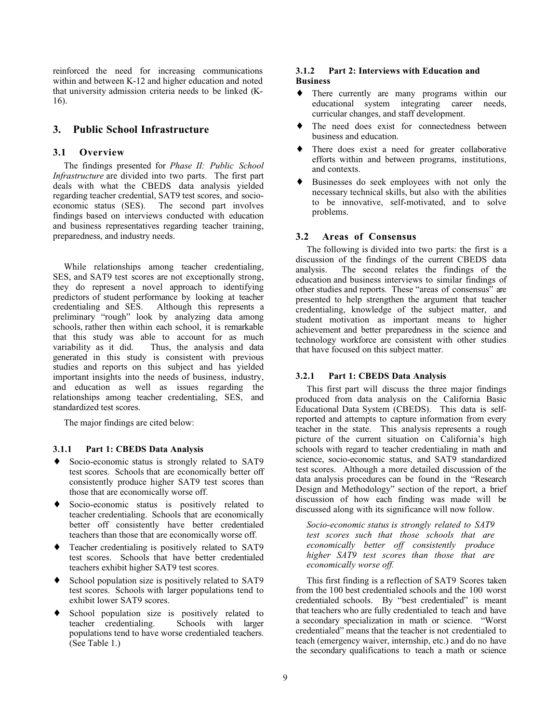reinforced the need for increasing communications within and between K-12 and higher education and noted that university admission criteria needs to be linked (K-16).

## **3. Public School Infrastructure**

#### **3.1 Overview**

The findings presented for *Phase II: Public School Infrastructure* are divided into two parts. The first part deals with what the CBEDS data analysis yielded regarding teacher credential, SAT9 test scores, and socioeconomic status (SES). The second part involves findings based on interviews conducted with education and business representatives regarding teacher training, preparedness, and industry needs.

While relationships among teacher credentialing, SES, and SAT9 test scores are not exceptionally strong, they do represent a novel approach to identifying predictors of student performance by looking at teacher credentialing and SES. Although this represents a preliminary "rough" look by analyzing data among schools, rather then within each school, it is remarkable that this study was able to account for as much variability as it did. Thus, the analysis and data Thus, the analysis and data generated in this study is consistent with previous studies and reports on this subject and has yielded important insights into the needs of business, industry, and education as well as issues regarding the relationships among teacher credentialing, SES, and standardized test scores.

The major findings are cited below:

#### **3.1.1 Part 1: CBEDS Data Analysis**

- ♦ Socio-economic status is strongly related to SAT9 test scores. Schools that are economically better off consistently produce higher SAT9 test scores than those that are economically worse off.
- ♦ Socio-economic status is positively related to teacher credentialing. Schools that are economically better off consistently have better credentialed teachers than those that are economically worse off.
- ♦ Teacher credentialing is positively related to SAT9 test scores. Schools that have better credentialed teachers exhibit higher SAT9 test scores.
- ♦ School population size is positively related to SAT9 test scores. Schools with larger populations tend to exhibit lower SAT9 scores.
- ♦ School population size is positively related to teacher credentialing. Schools with larger populations tend to have worse credentialed teachers. (See Table 1.)

### **3.1.2 Part 2: Interviews with Education and Business**

- ♦ There currently are many programs within our educational system integrating career needs, curricular changes, and staff development.
- The need does exist for connectedness between business and education.
- There does exist a need for greater collaborative efforts within and between programs, institutions, and contexts.
- Businesses do seek employees with not only the necessary technical skills, but also with the abilities to be innovative, self-motivated, and to solve problems.

#### **3.2 Areas of Consensus**

The following is divided into two parts: the first is a discussion of the findings of the current CBEDS data analysis. The second relates the findings of the education and business interviews to similar findings of other studies and reports. These "areas of consensus" are presented to help strengthen the argument that teacher credentialing, knowledge of the subject matter, and student motivation as important means to higher achievement and better preparedness in the science and technology workforce are consistent with other studies that have focused on this subject matter.

#### **3.2.1 Part 1: CBEDS Data Analysis**

This first part will discuss the three major findings produced from data analysis on the California Basic Educational Data System (CBEDS). This data is selfreported and attempts to capture information from every teacher in the state. This analysis represents a rough picture of the current situation on California's high schools with regard to teacher credentialing in math and science, socio-economic status, and SAT9 standardized test scores. Although a more detailed discussion of the data analysis procedures can be found in the "Research Design and Methodology" section of the report, a brief discussion of how each finding was made will be discussed along with its significance will now follow.

*Socio-economic status is strongly related to SAT9 test scores such that those schools that are economically better off consistently produce higher SAT9 test scores than those that are economically worse off.*

This first finding is a reflection of SAT9 Scores taken from the 100 best credentialed schools and the 100 worst credentialed schools. By "best credentialed" is meant that teachers who are fully credentialed to teach and have a secondary specialization in math or science. "Worst credentialed" means that the teacher is not credentialed to teach (emergency waiver, internship, etc.) and do no have the secondary qualifications to teach a math or science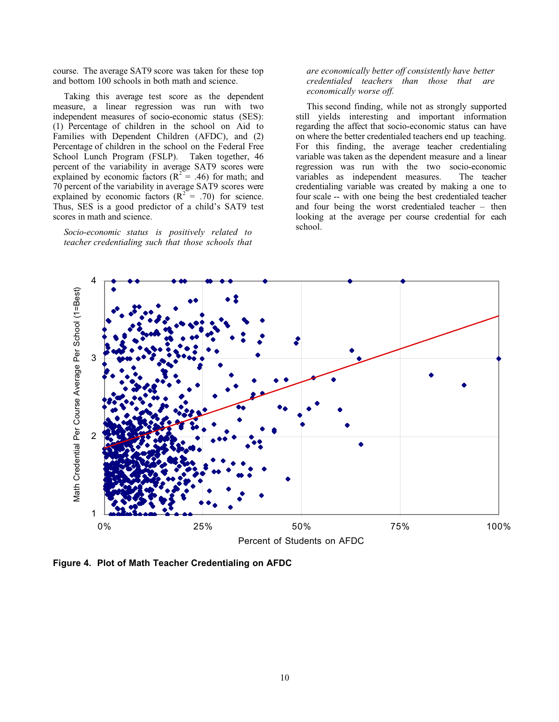course. The average SAT9 score was taken for these top and bottom 100 schools in both math and science.

Taking this average test score as the dependent measure, a linear regression was run with two independent measures of socio-economic status (SES): (1) Percentage of children in the school on Aid to Families with Dependent Children (AFDC), and (2) Percentage of children in the school on the Federal Free School Lunch Program (FSLP). Taken together, 46 percent of the variability in average SAT9 scores were explained by economic factors ( $R^2 = .46$ ) for math; and 70 percent of the variability in average SAT9 scores were explained by economic factors  $(R^2 = .70)$  for science. Thus, SES is a good predictor of a child's SAT9 test scores in math and science.

*Socio-economic status is positively related to teacher credentialing such that those schools that*

*are economically better off consistently have better credentialed teachers than those that are economically worse off.*

This second finding, while not as strongly supported still yields interesting and important information regarding the affect that socio-economic status can have on where the better credentialed teachers end up teaching. For this finding, the average teacher credentialing variable was taken as the dependent measure and a linear regression was run with the two socio-economic variables as independent measures. The teacher credentialing variable was created by making a one to four scale -- with one being the best credentialed teacher and four being the worst credentialed teacher – then looking at the average per course credential for each school.

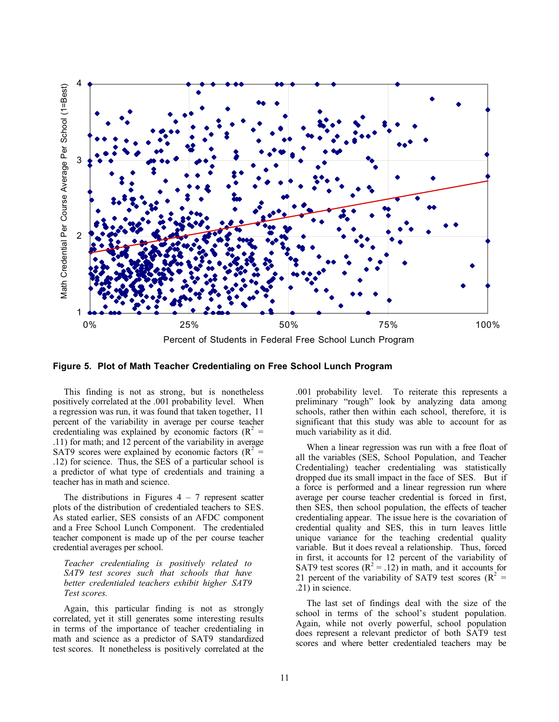

**Figure 5. Plot of Math Teacher Credentialing on Free School Lunch Program**

This finding is not as strong, but is nonetheless positively correlated at the .001 probability level. When a regression was run, it was found that taken together, 11 percent of the variability in average per course teacher credentialing was explained by economic factors ( $R^2$  = .11) for math; and 12 percent of the variability in average SAT9 scores were explained by economic factors ( $R^2$  = .12) for science. Thus, the SES of a particular school is a predictor of what type of credentials and training a teacher has in math and science.

The distributions in Figures  $4 - 7$  represent scatter plots of the distribution of credentialed teachers to SES. As stated earlier, SES consists of an AFDC component and a Free School Lunch Component. The credentialed teacher component is made up of the per course teacher credential averages per school.

*Teacher credentialing is positively related to SAT9 test scores such that schools that have better credentialed teachers exhibit higher SAT9 Test scores.*

Again, this particular finding is not as strongly correlated, yet it still generates some interesting results in terms of the importance of teacher credentialing in math and science as a predictor of SAT9 standardized test scores. It nonetheless is positively correlated at the

.001 probability level. To reiterate this represents a preliminary "rough" look by analyzing data among schools, rather then within each school, therefore, it is significant that this study was able to account for as much variability as it did.

When a linear regression was run with a free float of all the variables (SES, School Population, and Teacher Credentialing) teacher credentialing was statistically dropped due its small impact in the face of SES. But if a force is performed and a linear regression run where average per course teacher credential is forced in first, then SES, then school population, the effects of teacher credentialing appear. The issue here is the covariation of credential quality and SES, this in turn leaves little unique variance for the teaching credential quality variable. But it does reveal a relationship. Thus, forced in first, it accounts for 12 percent of the variability of SAT9 test scores  $(R^2 = .12)$  in math, and it accounts for 21 percent of the variability of SAT9 test scores ( $R^2 =$ .21) in science.

The last set of findings deal with the size of the school in terms of the school's student population. Again, while not overly powerful, school population does represent a relevant predictor of both SAT9 test scores and where better credentialed teachers may be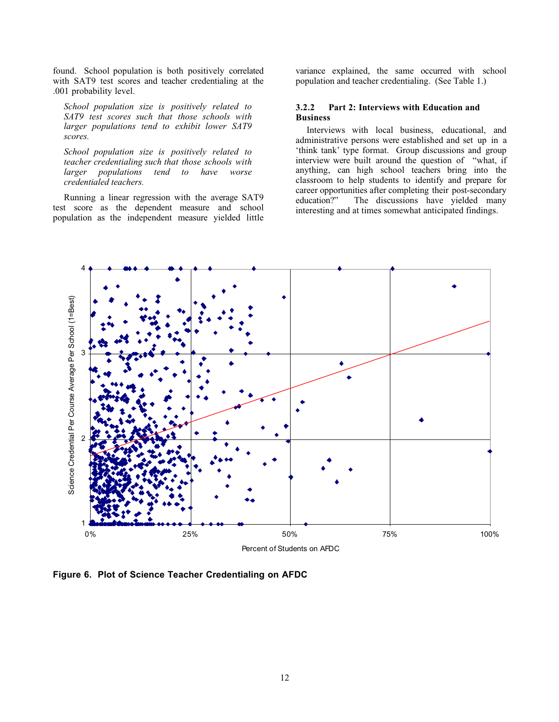found. School population is both positively correlated with SAT9 test scores and teacher credentialing at the .001 probability level.

*School population size is positively related to SAT9 test scores such that those schools with larger populations tend to exhibit lower SAT9 scores.*

*School population size is positively related to teacher credentialing such that those schools with larger populations tend to have worse credentialed teachers.*

Running a linear regression with the average SAT9 test score as the dependent measure and school population as the independent measure yielded little

variance explained, the same occurred with school population and teacher credentialing. (See Table 1.)

#### **3.2.2 Part 2: Interviews with Education and Business**

Interviews with local business, educational, and administrative persons were established and set up in a 'think tank' type format. Group discussions and group interview were built around the question of "what, if anything, can high school teachers bring into the classroom to help students to identify and prepare for career opportunities after completing their post-secondary<br>education?" The discussions have vielded many The discussions have yielded many interesting and at times somewhat anticipated findings.



**Figure 6. Plot of Science Teacher Credentialing on AFDC**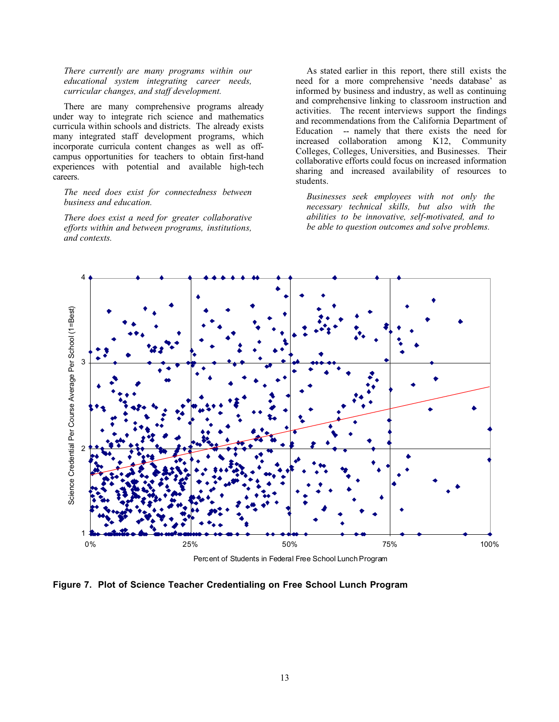*There currently are many programs within our educational system integrating career needs, curricular changes, and staff development.*

There are many comprehensive programs already under way to integrate rich science and mathematics curricula within schools and districts. The already exists many integrated staff development programs, which incorporate curricula content changes as well as offcampus opportunities for teachers to obtain first-hand experiences with potential and available high-tech careers.

*The need does exist for connectedness between business and education.*

*There does exist a need for greater collaborative efforts within and between programs, institutions, and contexts.*

As stated earlier in this report, there still exists the need for a more comprehensive 'needs database' as informed by business and industry, as well as continuing and comprehensive linking to classroom instruction and activities. The recent interviews support the findings and recommendations from the California Department of Education -- namely that there exists the need for increased collaboration among K12, Community Colleges, Colleges, Universities, and Businesses. Their collaborative efforts could focus on increased information sharing and increased availability of resources to students.

*Businesses seek employees with not only the necessary technical skills, but also with the abilities to be innovative, self-motivated, and to be able to question outcomes and solve problems.*



**Figure 7. Plot of Science Teacher Credentialing on Free School Lunch Program**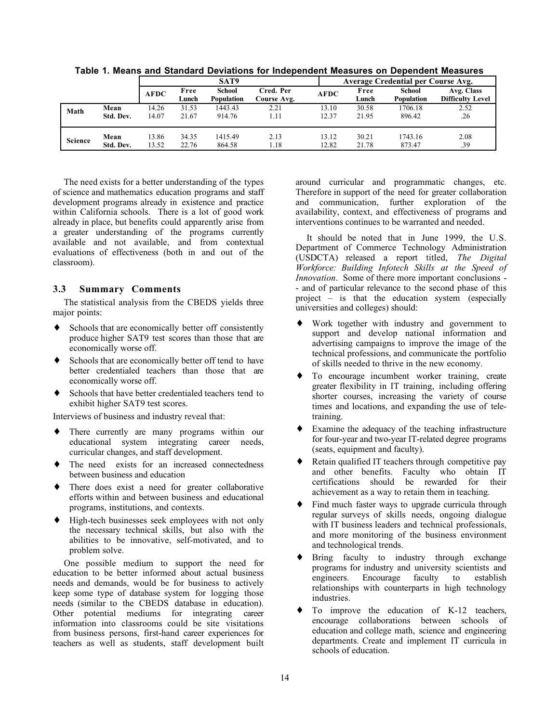|         |           |             |               | SAT9                        |                          |             | Average Credential per Course Avg. |                             |                                       |  |
|---------|-----------|-------------|---------------|-----------------------------|--------------------------|-------------|------------------------------------|-----------------------------|---------------------------------------|--|
|         |           | <b>AFDC</b> | Free<br>Lunch | School<br><b>Population</b> | Cred. Per<br>Course Avg. | <b>AFDC</b> | Free<br>Lunch                      | School<br><b>Population</b> | Avg. Class<br><b>Difficulty Level</b> |  |
| Math    | Mean      | 14.26       | 31.53         | 1443.43                     | 2.21                     | 13.10       | 30.58                              | 1706.18                     | 2.52                                  |  |
|         | Std. Dev. | 14.07       | 21.67         | 914.76                      | 1.11                     | 12.37       | 21.95                              | 896.42                      | .26                                   |  |
| Science | Mean      | 13.86       | 34.35         | 1415.49                     | 2.13                     | 13.12       | 30.21                              | 1743.16                     | 2.08                                  |  |
|         | Std. Dev. | 13.52       | 22.76         | 864.58                      | 1.18                     | 12.82       | 21.78                              | 873.47                      | .39                                   |  |

**Table 1. Means and Standard Deviations for Independent Measures on Dependent Measures**

The need exists for a better understanding of the types of science and mathematics education programs and staff development programs already in existence and practice within California schools. There is a lot of good work already in place, but benefits could apparently arise from a greater understanding of the programs currently available and not available, and from contextual evaluations of effectiveness (both in and out of the classroom).

#### **3.3 Summary Comments**

The statistical analysis from the CBEDS yields three major points:

- ♦ Schools that are economically better off consistently produce higher SAT9 test scores than those that are economically worse off.
- ♦ Schools that are economically better off tend to have better credentialed teachers than those that are economically worse off.
- Schools that have better credentialed teachers tend to exhibit higher SAT9 test scores.

Interviews of business and industry reveal that:

- ♦ There currently are many programs within our educational system integrating career needs, curricular changes, and staff development.
- The need exists for an increased connectedness between business and education
- ♦ There does exist a need for greater collaborative efforts within and between business and educational programs, institutions, and contexts.
- ♦ High-tech businesses seek employees with not only the necessary technical skills, but also with the abilities to be innovative, self-motivated, and to problem solve.

One possible medium to support the need for education to be better informed about actual business needs and demands, would be for business to actively keep some type of database system for logging those needs (similar to the CBEDS database in education). Other potential mediums for integrating career information into classrooms could be site visitations from business persons, first-hand career experiences for teachers as well as students, staff development built around curricular and programmatic changes, etc. Therefore in support of the need for greater collaboration and communication, further exploration of the availability, context, and effectiveness of programs and interventions continues to be warranted and needed.

It should be noted that in June 1999, the U.S. Department of Commerce Technology Administration (USDCTA) released a report titled, *The Digital Workforce: Building Infotech Skills at the Speed of Innovation*. Some of there more important conclusions - - and of particular relevance to the second phase of this project – is that the education system (especially universities and colleges) should:

- ♦ Work together with industry and government to support and develop national information and advertising campaigns to improve the image of the technical professions, and communicate the portfolio of skills needed to thrive in the new economy.
- To encourage incumbent worker training, create greater flexibility in IT training, including offering shorter courses, increasing the variety of course times and locations, and expanding the use of teletraining.
- ♦ Examine the adequacy of the teaching infrastructure for four-year and two-year IT-related degree programs (seats, equipment and faculty).
- Retain qualified IT teachers through competitive pay and other benefits. Faculty who obtain IT certifications should be rewarded for their achievement as a way to retain them in teaching.
- Find much faster ways to upgrade curricula through regular surveys of skills needs, ongoing dialogue with IT business leaders and technical professionals, and more monitoring of the business environment and technological trends.
- Bring faculty to industry through exchange programs for industry and university scientists and engineers. Encourage faculty to establish relationships with counterparts in high technology industries.
- To improve the education of K-12 teachers, encourage collaborations between schools of education and college math, science and engineering departments. Create and implement IT curricula in schools of education.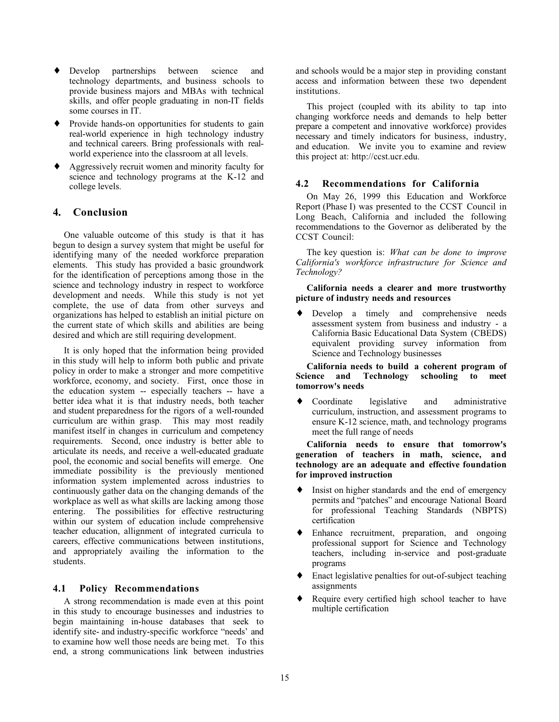- ♦ Develop partnerships between science and technology departments, and business schools to provide business majors and MBAs with technical skills, and offer people graduating in non-IT fields some courses in IT.
- ♦ Provide hands-on opportunities for students to gain real-world experience in high technology industry and technical careers. Bring professionals with realworld experience into the classroom at all levels.
- ♦ Aggressively recruit women and minority faculty for science and technology programs at the K-12 and college levels.

## **4. Conclusion**

One valuable outcome of this study is that it has begun to design a survey system that might be useful for identifying many of the needed workforce preparation elements. This study has provided a basic groundwork for the identification of perceptions among those in the science and technology industry in respect to workforce development and needs. While this study is not yet complete, the use of data from other surveys and organizations has helped to establish an initial picture on the current state of which skills and abilities are being desired and which are still requiring development.

It is only hoped that the information being provided in this study will help to inform both public and private policy in order to make a stronger and more competitive workforce, economy, and society. First, once those in the education system -- especially teachers -- have a better idea what it is that industry needs, both teacher and student preparedness for the rigors of a well-rounded curriculum are within grasp. This may most readily manifest itself in changes in curriculum and competency requirements. Second, once industry is better able to articulate its needs, and receive a well-educated graduate pool, the economic and social benefits will emerge. One immediate possibility is the previously mentioned information system implemented across industries to continuously gather data on the changing demands of the workplace as well as what skills are lacking among those entering. The possibilities for effective restructuring within our system of education include comprehensive teacher education, allignment of integrated curricula to careers, effective communications between institutions, and appropriately availing the information to the students.

#### **4.1 Policy Recommendations**

A strong recommendation is made even at this point in this study to encourage businesses and industries to begin maintaining in-house databases that seek to identify site- and industry-specific workforce "needs' and to examine how well those needs are being met. To this end, a strong communications link between industries and schools would be a major step in providing constant access and information between these two dependent institutions.

This project (coupled with its ability to tap into changing workforce needs and demands to help better prepare a competent and innovative workforce) provides necessary and timely indicators for business, industry, and education. We invite you to examine and review this project at: http://ccst.ucr.edu.

#### **4.2 Recommendations for California**

On May 26, 1999 this Education and Workforce Report (Phase I) was presented to the CCST Council in Long Beach, California and included the following recommendations to the Governor as deliberated by the CCST Council:

The key question is: *What can be done to improve California's workforce infrastructure for Science and Technology?*

#### **California needs a clearer and more trustworthy picture of industry needs and resources**

♦ Develop a timely and comprehensive needs assessment system from business and industry - a California Basic Educational Data System (CBEDS) equivalent providing survey information from Science and Technology businesses

**California needs to build a coherent program of Science and Technology schooling to meet tomorrow's needs**

Coordinate legislative and administrative curriculum, instruction, and assessment programs to ensure K-12 science, math, and technology programs meet the full range of needs

**California needs to ensure that tomorrow's generation of teachers in math, science, and technology are an adequate and effective foundation for improved instruction**

- Insist on higher standards and the end of emergency permits and "patches" and encourage National Board for professional Teaching Standards (NBPTS) certification
- Enhance recruitment, preparation, and ongoing professional support for Science and Technology teachers, including in-service and post-graduate programs
- Enact legislative penalties for out-of-subject teaching assignments
- Require every certified high school teacher to have multiple certification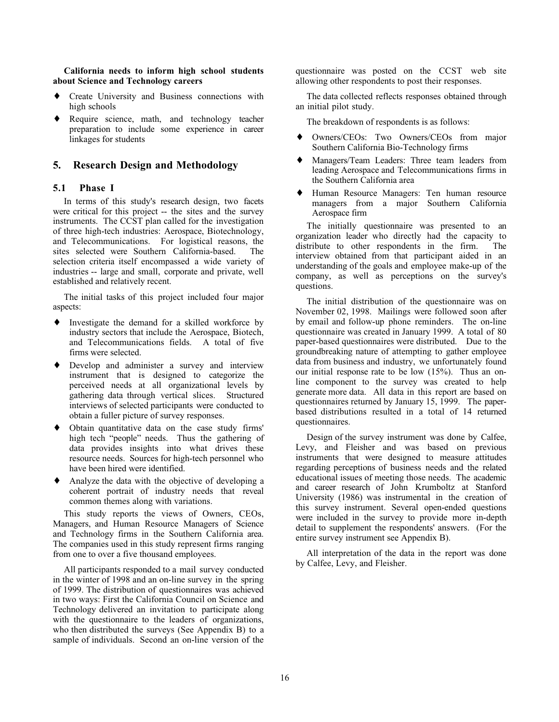**California needs to inform high school students about Science and Technology careers**

- ♦ Create University and Business connections with high schools
- ♦ Require science, math, and technology teacher preparation to include some experience in career linkages for students

## **5. Research Design and Methodology**

#### **5.1 Phase I**

In terms of this study's research design, two facets were critical for this project -- the sites and the survey instruments. The CCST plan called for the investigation of three high-tech industries: Aerospace, Biotechnology, and Telecommunications. For logistical reasons, the sites selected were Southern California-based. The selection criteria itself encompassed a wide variety of industries -- large and small, corporate and private, well established and relatively recent.

The initial tasks of this project included four major aspects:

- ♦ Investigate the demand for a skilled workforce by industry sectors that include the Aerospace, Biotech, and Telecommunications fields. A total of five firms were selected.
- ♦ Develop and administer a survey and interview instrument that is designed to categorize the perceived needs at all organizational levels by gathering data through vertical slices. Structured interviews of selected participants were conducted to obtain a fuller picture of survey responses.
- ♦ Obtain quantitative data on the case study firms' high tech "people" needs. Thus the gathering of data provides insights into what drives these resource needs. Sources for high-tech personnel who have been hired were identified.
- ♦ Analyze the data with the objective of developing a coherent portrait of industry needs that reveal common themes along with variations.

This study reports the views of Owners, CEOs, Managers, and Human Resource Managers of Science and Technology firms in the Southern California area. The companies used in this study represent firms ranging from one to over a five thousand employees.

All participants responded to a mail survey conducted in the winter of 1998 and an on-line survey in the spring of 1999. The distribution of questionnaires was achieved in two ways: First the California Council on Science and Technology delivered an invitation to participate along with the questionnaire to the leaders of organizations, who then distributed the surveys (See Appendix B) to a sample of individuals. Second an on-line version of the

questionnaire was posted on the CCST web site allowing other respondents to post their responses.

The data collected reflects responses obtained through an initial pilot study.

The breakdown of respondents is as follows:

- Owners/CEOs: Two Owners/CEOs from major Southern California Bio-Technology firms
- Managers/Team Leaders: Three team leaders from leading Aerospace and Telecommunications firms in the Southern California area
- Human Resource Managers: Ten human resource managers from a major Southern California Aerospace firm

The initially questionnaire was presented to an organization leader who directly had the capacity to distribute to other respondents in the firm. The interview obtained from that participant aided in an understanding of the goals and employee make-up of the company, as well as perceptions on the survey's questions.

The initial distribution of the questionnaire was on November 02, 1998. Mailings were followed soon after by email and follow-up phone reminders. The on-line questionnaire was created in January 1999. A total of 80 paper-based questionnaires were distributed. Due to the groundbreaking nature of attempting to gather employee data from business and industry, we unfortunately found our initial response rate to be low (15%). Thus an online component to the survey was created to help generate more data. All data in this report are based on questionnaires returned by January 15, 1999. The paperbased distributions resulted in a total of 14 returned questionnaires.

Design of the survey instrument was done by Calfee, Levy, and Fleisher and was based on previous instruments that were designed to measure attitudes regarding perceptions of business needs and the related educational issues of meeting those needs. The academic and career research of John Krumboltz at Stanford University (1986) was instrumental in the creation of this survey instrument. Several open-ended questions were included in the survey to provide more in-depth detail to supplement the respondents' answers. (For the entire survey instrument see Appendix B).

All interpretation of the data in the report was done by Calfee, Levy, and Fleisher.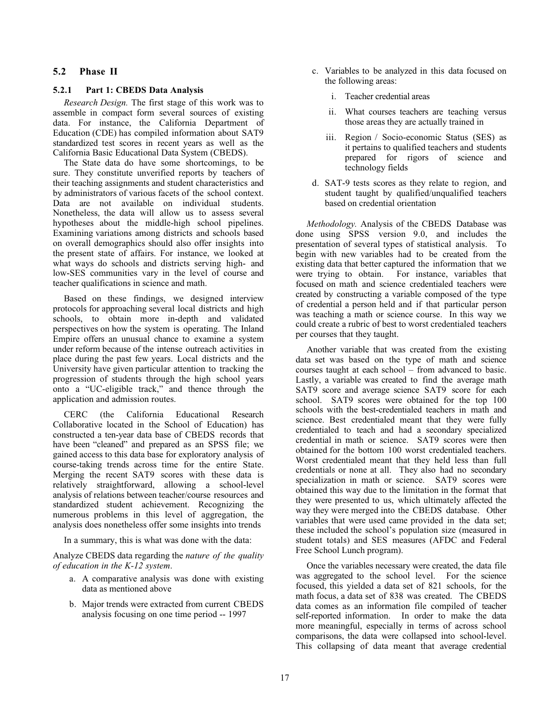## **5.2 Phase II**

### **5.2.1 Part 1: CBEDS Data Analysis**

*Research Design.* The first stage of this work was to assemble in compact form several sources of existing data. For instance, the California Department of Education (CDE) has compiled information about SAT9 standardized test scores in recent years as well as the California Basic Educational Data System (CBEDS).

The State data do have some shortcomings, to be sure. They constitute unverified reports by teachers of their teaching assignments and student characteristics and by administrators of various facets of the school context. Data are not available on individual students. Nonetheless, the data will allow us to assess several hypotheses about the middle-high school pipelines. Examining variations among districts and schools based on overall demographics should also offer insights into the present state of affairs. For instance, we looked at what ways do schools and districts serving high- and low-SES communities vary in the level of course and teacher qualifications in science and math.

Based on these findings, we designed interview protocols for approaching several local districts and high schools, to obtain more in-depth and validated perspectives on how the system is operating. The Inland Empire offers an unusual chance to examine a system under reform because of the intense outreach activities in place during the past few years. Local districts and the University have given particular attention to tracking the progression of students through the high school years onto a "UC-eligible track," and thence through the application and admission routes.

CERC (the California Educational Research Collaborative located in the School of Education) has constructed a ten-year data base of CBEDS records that have been "cleaned" and prepared as an SPSS file; we gained access to this data base for exploratory analysis of course-taking trends across time for the entire State. Merging the recent SAT9 scores with these data is relatively straightforward, allowing a school-level analysis of relations between teacher/course resources and standardized student achievement. Recognizing the numerous problems in this level of aggregation, the analysis does nonetheless offer some insights into trends

In a summary, this is what was done with the data:

Analyze CBEDS data regarding the *nature of the quality of education in the K-12 system*.

- a. A comparative analysis was done with existing data as mentioned above
- b. Major trends were extracted from current CBEDS analysis focusing on one time period -- 1997
- c. Variables to be analyzed in this data focused on the following areas:
	- i. Teacher credential areas
	- ii. What courses teachers are teaching versus those areas they are actually trained in
	- iii. Region / Socio-economic Status (SES) as it pertains to qualified teachers and students prepared for rigors of science and technology fields
- d. SAT-9 tests scores as they relate to region, and student taught by qualified/unqualified teachers based on credential orientation

*Methodology.* Analysis of the CBEDS Database was done using SPSS version 9.0, and includes the presentation of several types of statistical analysis. To begin with new variables had to be created from the existing data that better captured the information that we were trying to obtain. For instance, variables that focused on math and science credentialed teachers were created by constructing a variable composed of the type of credential a person held and if that particular person was teaching a math or science course. In this way we could create a rubric of best to worst credentialed teachers per courses that they taught.

Another variable that was created from the existing data set was based on the type of math and science courses taught at each school – from advanced to basic. Lastly, a variable was created to find the average math SAT9 score and average science SAT9 score for each school. SAT9 scores were obtained for the top 100 schools with the best-credentialed teachers in math and science. Best credentialed meant that they were fully credentialed to teach and had a secondary specialized credential in math or science. SAT9 scores were then obtained for the bottom 100 worst credentialed teachers. Worst credentialed meant that they held less than full credentials or none at all. They also had no secondary specialization in math or science. SAT9 scores were obtained this way due to the limitation in the format that they were presented to us, which ultimately affected the way they were merged into the CBEDS database. Other variables that were used came provided in the data set; these included the school's population size (measured in student totals) and SES measures (AFDC and Federal Free School Lunch program).

Once the variables necessary were created, the data file was aggregated to the school level. For the science focused, this yielded a data set of 821 schools, for the math focus, a data set of 838 was created. The CBEDS data comes as an information file compiled of teacher self-reported information. In order to make the data more meaningful, especially in terms of across school comparisons, the data were collapsed into school-level. This collapsing of data meant that average credential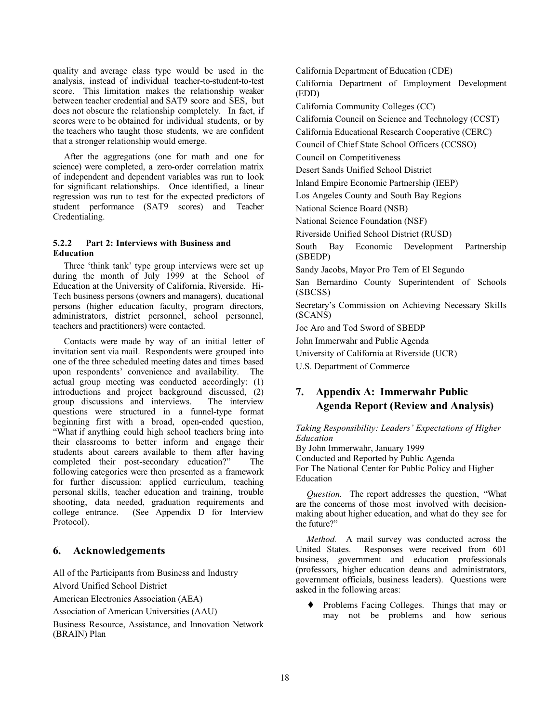quality and average class type would be used in the analysis, instead of individual teacher-to-student-to-test score. This limitation makes the relationship weaker between teacher credential and SAT9 score and SES, but does not obscure the relationship completely. In fact, if scores were to be obtained for individual students, or by the teachers who taught those students, we are confident that a stronger relationship would emerge.

After the aggregations (one for math and one for science) were completed, a zero-order correlation matrix of independent and dependent variables was run to look for significant relationships. Once identified, a linear regression was run to test for the expected predictors of student performance (SAT9 scores) and Teacher Credentialing.

## **5.2.2 Part 2: Interviews with Business and Education**

Three 'think tank' type group interviews were set up during the month of July 1999 at the School of Education at the University of California, Riverside. Hi-Tech business persons (owners and managers), ducational persons (higher education faculty, program directors, administrators, district personnel, school personnel, teachers and practitioners) were contacted.

Contacts were made by way of an initial letter of invitation sent via mail. Respondents were grouped into one of the three scheduled meeting dates and times based upon respondents' convenience and availability. The actual group meeting was conducted accordingly: (1) introductions and project background discussed, (2) group discussions and interviews. The interview questions were structured in a funnel-type format beginning first with a broad, open-ended question, "What if anything could high school teachers bring into their classrooms to better inform and engage their students about careers available to them after having completed their post-secondary education?" The following categories were then presented as a framework for further discussion: applied curriculum, teaching personal skills, teacher education and training, trouble shooting, data needed, graduation requirements and college entrance. (See Appendix D for Interview Protocol).

## **6. Acknowledgements**

All of the Participants from Business and Industry Alvord Unified School District

American Electronics Association (AEA)

Association of American Universities (AAU)

Business Resource, Assistance, and Innovation Network (BRAIN) Plan

California Department of Education (CDE) California Department of Employment Development (EDD) California Community Colleges (CC) California Council on Science and Technology (CCST) California Educational Research Cooperative (CERC) Council of Chief State School Officers (CCSSO) Council on Competitiveness Desert Sands Unified School District Inland Empire Economic Partnership (IEEP) Los Angeles County and South Bay Regions National Science Board (NSB) National Science Foundation (NSF) Riverside Unified School District (RUSD) South Bay Economic Development Partnership (SBEDP) Sandy Jacobs, Mayor Pro Tem of El Segundo San Bernardino County Superintendent of Schools (SBCSS) Secretary's Commission on Achieving Necessary Skills (SCANS) Joe Aro and Tod Sword of SBEDP John Immerwahr and Public Agenda University of California at Riverside (UCR) U.S. Department of Commerce

# **7. Appendix A: Immerwahr Public Agenda Report (Review and Analysis)**

*Taking Responsibility: Leaders' Expectations of Higher Education*

By John Immerwahr, January 1999 Conducted and Reported by Public Agenda For The National Center for Public Policy and Higher Education

*Question.* The report addresses the question, "What are the concerns of those most involved with decisionmaking about higher education, and what do they see for the future?"

*Method.* A mail survey was conducted across the United States. Responses were received from 601 business, government and education professionals (professors, higher education deans and administrators, government officials, business leaders). Questions were asked in the following areas:

♦ Problems Facing Colleges. Things that may or may not be problems and how serious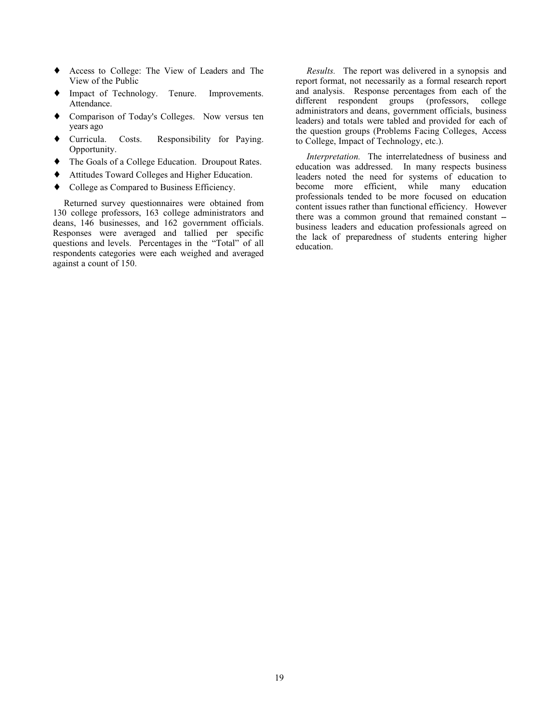- ♦ Access to College: The View of Leaders and The View of the Public
- Impact of Technology. Tenure. Improvements. Attendance.
- ♦ Comparison of Today's Colleges. Now versus ten years ago
- ♦ Curricula. Costs. Responsibility for Paying. Opportunity.
- ♦ The Goals of a College Education. Droupout Rates.
- ♦ Attitudes Toward Colleges and Higher Education.
- ♦ College as Compared to Business Efficiency.

Returned survey questionnaires were obtained from 130 college professors, 163 college administrators and deans, 146 businesses, and 162 government officials. Responses were averaged and tallied per specific questions and levels. Percentages in the "Total" of all respondents categories were each weighed and averaged against a count of 150.

*Results.* The report was delivered in a synopsis and report format, not necessarily as a formal research report and analysis. Response percentages from each of the different respondent groups (professors, college administrators and deans, government officials, business leaders) and totals were tabled and provided for each of the question groups (Problems Facing Colleges, Access to College, Impact of Technology, etc.).

*Interpretation.* The interrelatedness of business and education was addressed. In many respects business leaders noted the need for systems of education to become more efficient, while many education professionals tended to be more focused on education content issues rather than functional efficiency. However there was a common ground that remained constant -business leaders and education professionals agreed on the lack of preparedness of students entering higher education.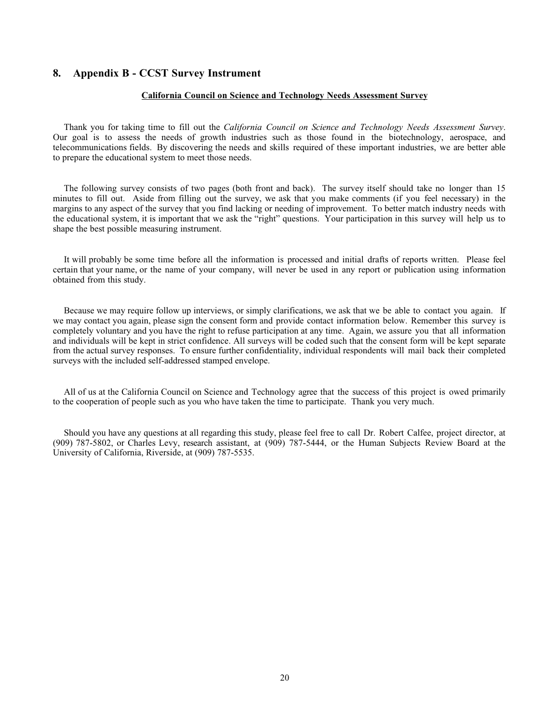### **8. Appendix B - CCST Survey Instrument**

#### **California Council on Science and Technology Needs Assessment Survey**

Thank you for taking time to fill out the *California Council on Science and Technology Needs Assessment Survey*. Our goal is to assess the needs of growth industries such as those found in the biotechnology, aerospace, and telecommunications fields. By discovering the needs and skills required of these important industries, we are better able to prepare the educational system to meet those needs.

The following survey consists of two pages (both front and back). The survey itself should take no longer than 15 minutes to fill out. Aside from filling out the survey, we ask that you make comments (if you feel necessary) in the margins to any aspect of the survey that you find lacking or needing of improvement. To better match industry needs with the educational system, it is important that we ask the "right" questions. Your participation in this survey will help us to shape the best possible measuring instrument.

It will probably be some time before all the information is processed and initial drafts of reports written. Please feel certain that your name, or the name of your company, will never be used in any report or publication using information obtained from this study.

Because we may require follow up interviews, or simply clarifications, we ask that we be able to contact you again. If we may contact you again, please sign the consent form and provide contact information below. Remember this survey is completely voluntary and you have the right to refuse participation at any time. Again, we assure you that all information and individuals will be kept in strict confidence. All surveys will be coded such that the consent form will be kept separate from the actual survey responses. To ensure further confidentiality, individual respondents will mail back their completed surveys with the included self-addressed stamped envelope.

All of us at the California Council on Science and Technology agree that the success of this project is owed primarily to the cooperation of people such as you who have taken the time to participate. Thank you very much.

Should you have any questions at all regarding this study, please feel free to call Dr. Robert Calfee, project director, at (909) 787-5802, or Charles Levy, research assistant, at (909) 787-5444, or the Human Subjects Review Board at the University of California, Riverside, at (909) 787-5535.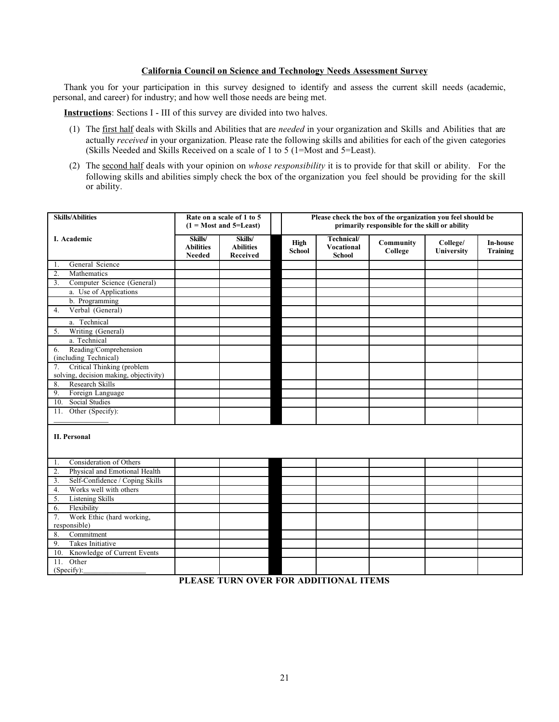#### **California Council on Science and Technology Needs Assessment Survey**

Thank you for your participation in this survey designed to identify and assess the current skill needs (academic, personal, and career) for industry; and how well those needs are being met.

**Instructions**: Sections I - III of this survey are divided into two halves.

- (1) The first half deals with Skills and Abilities that are *needed* in your organization and Skills and Abilities that are actually *received* in your organization. Please rate the following skills and abilities for each of the given categories (Skills Needed and Skills Received on a scale of 1 to 5 (1=Most and 5=Least).
- (2) The second half deals with your opinion on *whose responsibility* it is to provide for that skill or ability. For the following skills and abilities simply check the box of the organization you feel should be providing for the skill or ability.

| <b>Skills/Abilities</b>                              |                                              | Rate on a scale of 1 to 5<br>$(1 = Most and 5 = Least)$ |                              | Please check the box of the organization you feel should be<br>primarily responsible for the skill or ability |                      |                        |                                    |  |
|------------------------------------------------------|----------------------------------------------|---------------------------------------------------------|------------------------------|---------------------------------------------------------------------------------------------------------------|----------------------|------------------------|------------------------------------|--|
| I. Academic                                          | Skills/<br><b>Abilities</b><br><b>Needed</b> | Skills/<br><b>Abilities</b><br>Received                 | <b>High</b><br><b>School</b> | Technical/<br><b>Vocational</b><br><b>School</b>                                                              | Community<br>College | College/<br>University | <b>In-house</b><br><b>Training</b> |  |
| General Science<br>1.                                |                                              |                                                         |                              |                                                                                                               |                      |                        |                                    |  |
| Mathematics<br>2.                                    |                                              |                                                         |                              |                                                                                                               |                      |                        |                                    |  |
| Computer Science (General)<br>3.                     |                                              |                                                         |                              |                                                                                                               |                      |                        |                                    |  |
| a. Use of Applications                               |                                              |                                                         |                              |                                                                                                               |                      |                        |                                    |  |
| b. Programming                                       |                                              |                                                         |                              |                                                                                                               |                      |                        |                                    |  |
| Verbal (General)<br>4.                               |                                              |                                                         |                              |                                                                                                               |                      |                        |                                    |  |
| a. Technical                                         |                                              |                                                         |                              |                                                                                                               |                      |                        |                                    |  |
| Writing (General)<br>5.                              |                                              |                                                         |                              |                                                                                                               |                      |                        |                                    |  |
| a. Technical                                         |                                              |                                                         |                              |                                                                                                               |                      |                        |                                    |  |
| Reading/Comprehension<br>6.<br>(including Technical) |                                              |                                                         |                              |                                                                                                               |                      |                        |                                    |  |
| Critical Thinking (problem<br>7.                     |                                              |                                                         |                              |                                                                                                               |                      |                        |                                    |  |
| solving, decision making, objectivity)               |                                              |                                                         |                              |                                                                                                               |                      |                        |                                    |  |
| Research Skills<br>8.                                |                                              |                                                         |                              |                                                                                                               |                      |                        |                                    |  |
| Foreign Language<br>9.                               |                                              |                                                         |                              |                                                                                                               |                      |                        |                                    |  |
| <b>Social Studies</b><br>10.                         |                                              |                                                         |                              |                                                                                                               |                      |                        |                                    |  |
| 11. Other (Specify):                                 |                                              |                                                         |                              |                                                                                                               |                      |                        |                                    |  |
| <b>II. Personal</b>                                  |                                              |                                                         |                              |                                                                                                               |                      |                        |                                    |  |
| Consideration of Others<br>1.                        |                                              |                                                         |                              |                                                                                                               |                      |                        |                                    |  |
| Physical and Emotional Health<br>2.                  |                                              |                                                         |                              |                                                                                                               |                      |                        |                                    |  |
| Self-Confidence / Coping Skills<br>3.                |                                              |                                                         |                              |                                                                                                               |                      |                        |                                    |  |
| Works well with others<br>$\overline{4}$ .           |                                              |                                                         |                              |                                                                                                               |                      |                        |                                    |  |
| <b>Listening Skills</b><br>5.                        |                                              |                                                         |                              |                                                                                                               |                      |                        |                                    |  |
| Flexibility<br>6.                                    |                                              |                                                         |                              |                                                                                                               |                      |                        |                                    |  |
| Work Ethic (hard working,<br>7.<br>responsible)      |                                              |                                                         |                              |                                                                                                               |                      |                        |                                    |  |
| Commitment<br>8.                                     |                                              |                                                         |                              |                                                                                                               |                      |                        |                                    |  |
| 9.<br>Takes Initiative                               |                                              |                                                         |                              |                                                                                                               |                      |                        |                                    |  |
| Knowledge of Current Events<br>10.                   |                                              |                                                         |                              |                                                                                                               |                      |                        |                                    |  |
| Other<br>11.<br>(Specify):                           |                                              |                                                         |                              |                                                                                                               |                      |                        |                                    |  |

**PLEASE TURN OVER FOR ADDITIONAL ITEMS**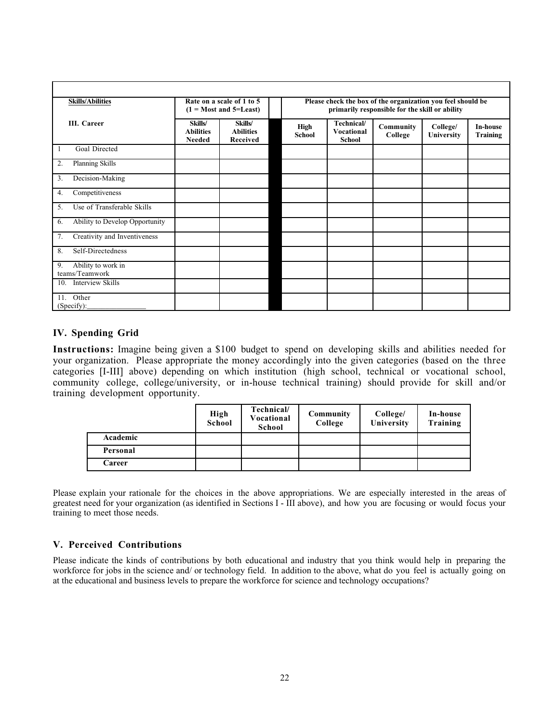| <b>Skills/Abilities</b>                    |                                       | Rate on a scale of 1 to 5<br>$(1 = Most and 5 = Least)$ |                       | Please check the box of the organization you feel should be<br>primarily responsible for the skill or ability |                      |                        |                                    |  |  |
|--------------------------------------------|---------------------------------------|---------------------------------------------------------|-----------------------|---------------------------------------------------------------------------------------------------------------|----------------------|------------------------|------------------------------------|--|--|
| III. Career                                | Skills/<br><b>Abilities</b><br>Needed | Skills/<br><b>Abilities</b><br>Received                 | High<br><b>School</b> | Technical/<br><b>Vocational</b><br><b>School</b>                                                              | Community<br>College | College/<br>University | <b>In-house</b><br><b>Training</b> |  |  |
| Goal Directed<br>1                         |                                       |                                                         |                       |                                                                                                               |                      |                        |                                    |  |  |
| Planning Skills<br>2.                      |                                       |                                                         |                       |                                                                                                               |                      |                        |                                    |  |  |
| Decision-Making<br>3.                      |                                       |                                                         |                       |                                                                                                               |                      |                        |                                    |  |  |
| Competitiveness<br>4.                      |                                       |                                                         |                       |                                                                                                               |                      |                        |                                    |  |  |
| Use of Transferable Skills<br>5.           |                                       |                                                         |                       |                                                                                                               |                      |                        |                                    |  |  |
| Ability to Develop Opportunity<br>6.       |                                       |                                                         |                       |                                                                                                               |                      |                        |                                    |  |  |
| Creativity and Inventiveness<br>7.         |                                       |                                                         |                       |                                                                                                               |                      |                        |                                    |  |  |
| 8.<br>Self-Directedness                    |                                       |                                                         |                       |                                                                                                               |                      |                        |                                    |  |  |
| Ability to work in<br>9.<br>teams/Teamwork |                                       |                                                         |                       |                                                                                                               |                      |                        |                                    |  |  |
| <b>Interview Skills</b><br>10.             |                                       |                                                         |                       |                                                                                                               |                      |                        |                                    |  |  |
| Other<br>11.<br>(Specify):                 |                                       |                                                         |                       |                                                                                                               |                      |                        |                                    |  |  |

## **IV. Spending Grid**

**Instructions:** Imagine being given a \$100 budget to spend on developing skills and abilities needed for your organization. Please appropriate the money accordingly into the given categories (based on the three categories [I-III] above) depending on which institution (high school, technical or vocational school, community college, college/university, or in-house technical training) should provide for skill and/or training development opportunity.

|          | High<br>School | Technical/<br>Vocational<br>School | <b>Community</b><br>College | College/<br>University | In-house<br>Training |
|----------|----------------|------------------------------------|-----------------------------|------------------------|----------------------|
| Academic |                |                                    |                             |                        |                      |
| Personal |                |                                    |                             |                        |                      |
| Career   |                |                                    |                             |                        |                      |

Please explain your rationale for the choices in the above appropriations. We are especially interested in the areas of greatest need for your organization (as identified in Sections I - III above), and how you are focusing or would focus your training to meet those needs.

## **V. Perceived Contributions**

Please indicate the kinds of contributions by both educational and industry that you think would help in preparing the workforce for jobs in the science and/ or technology field. In addition to the above, what do you feel is actually going on at the educational and business levels to prepare the workforce for science and technology occupations?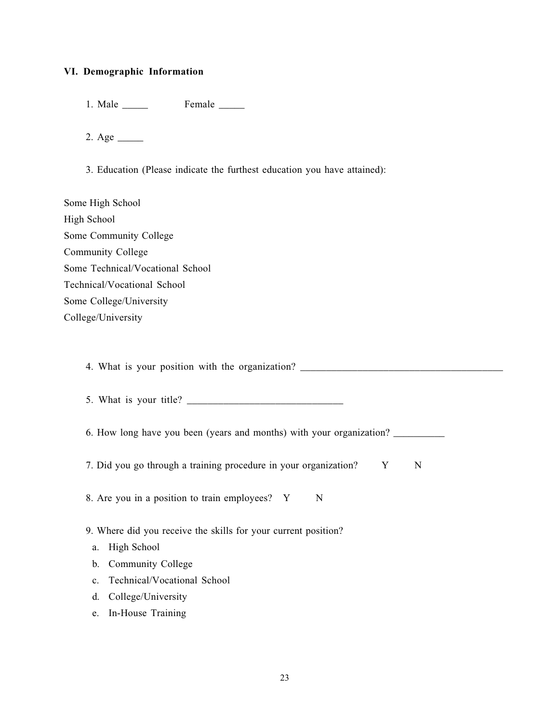## **VI. Demographic Information**

1. Male \_\_\_\_\_ Female \_\_\_\_\_

2. Age  $\_\_$ 

3. Education (Please indicate the furthest education you have attained):

| Some High School                 |
|----------------------------------|
| High School                      |
| Some Community College           |
| Community College                |
| Some Technical/Vocational School |
| Technical/Vocational School      |
| Some College/University          |
| College/University               |

4. What is your position with the organization? \_\_\_\_\_\_\_\_\_\_\_\_\_\_\_\_\_\_\_\_\_\_\_\_\_\_\_\_\_\_\_\_\_

5. What is your title? \_\_\_\_\_\_\_\_\_\_\_\_\_\_\_\_\_\_\_\_\_\_\_\_\_\_\_\_\_\_

6. How long have you been (years and months) with your organization?

7. Did you go through a training procedure in your organization? Y N

8. Are you in a position to train employees? Y N

9. Where did you receive the skills for your current position?

- a. High School
- b. Community College
- c. Technical/Vocational School
- d. College/University
- e. In-House Training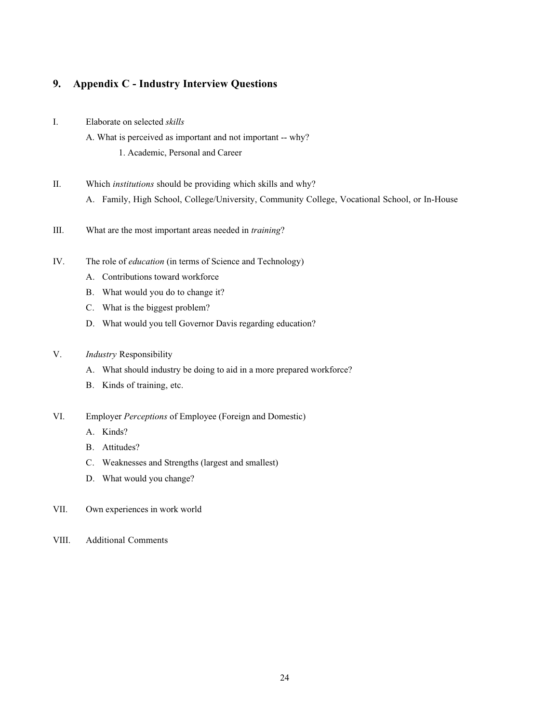# **9. Appendix C - Industry Interview Questions**

- I. Elaborate on selected *skills*
	- A. What is perceived as important and not important -- why?

1. Academic, Personal and Career

- II. Which *institutions* should be providing which skills and why? A. Family, High School, College/University, Community College, Vocational School, or In-House
- III. What are the most important areas needed in *training*?
- IV. The role of *education* (in terms of Science and Technology)
	- A. Contributions toward workforce
	- B. What would you do to change it?
	- C. What is the biggest problem?
	- D. What would you tell Governor Davis regarding education?
- V. *Industry* Responsibility
	- A. What should industry be doing to aid in a more prepared workforce?
	- B. Kinds of training, etc.
- VI. Employer *Perceptions* of Employee (Foreign and Domestic)
	- A. Kinds?
	- B. Attitudes?
	- C. Weaknesses and Strengths (largest and smallest)
	- D. What would you change?
- VII. Own experiences in work world
- VIII. Additional Comments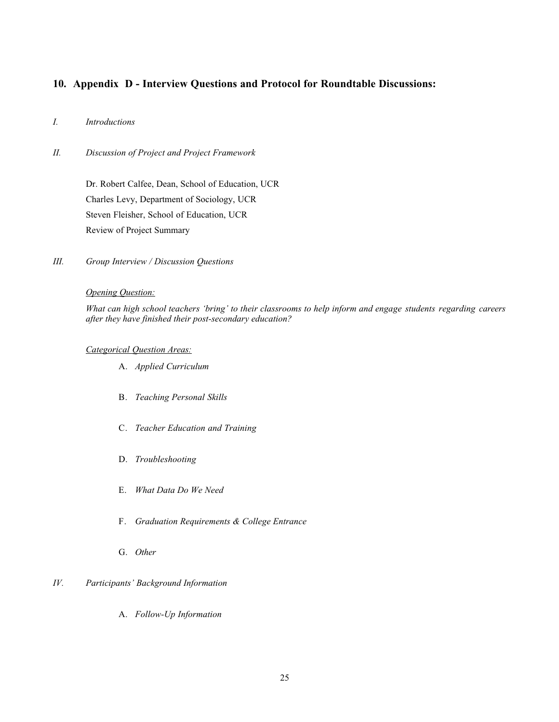## **10. Appendix D - Interview Questions and Protocol for Roundtable Discussions:**

## *I. Introductions*

*II. Discussion of Project and Project Framework*

Dr. Robert Calfee, Dean, School of Education, UCR Charles Levy, Department of Sociology, UCR Steven Fleisher, School of Education, UCR Review of Project Summary

*III. Group Interview / Discussion Questions*

#### *Opening Question:*

*What can high school teachers 'bring' to their classrooms to help inform and engage students regarding careers after they have finished their post-secondary education?*

#### *Categorical Question Areas:*

- A. *Applied Curriculum*
- B. *Teaching Personal Skills*
- C. *Teacher Education and Training*
- D. *Troubleshooting*
- E. *What Data Do We Need*
- F. *Graduation Requirements & College Entrance*
- G. *Other*

## *IV. Participants' Background Information*

A. *Follow-Up Information*